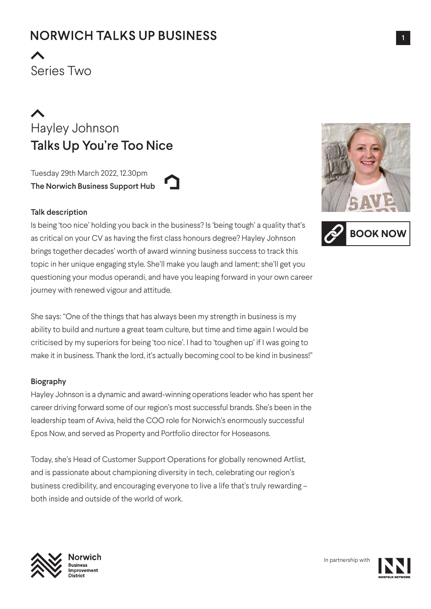Series Two

# Hayley Johnson Talks Up You're Too Nice

Tuesday 29th March 2022, 12.30pm The Norwich Business Support Hub



### Talk description

Is being 'too nice' holding you back in the business? Is 'being tough' a quality that's as critical on your CV as having the first class honours degree? Hayley Johnson brings together decades' worth of award winning business success to track this topic in her unique engaging style. She'll make you laugh and lament; she'll get you questioning your modus operandi, and have you leaping forward in your own career journey with renewed vigour and attitude.

She says: "One of the things that has always been my strength in business is my ability to build and nurture a great team culture, but time and time again I would be criticised by my superiors for being 'too nice'. I had to 'toughen up' if I was going to make it in business. Thank the lord, it's actually becoming cool to be kind in business!"

### Biography

Hayley Johnson is a dynamic and award-winning operations leader who has spent her career driving forward some of our region's most successful brands. She's been in the leadership team of Aviva, held the COO role for Norwich's enormously successful Epos Now, and served as Property and Portfolio director for Hoseasons.

Today, she's Head of Customer Support Operations for globally renowned Artlist, and is passionate about championing diversity in tech, celebrating our region's business credibility, and encouraging everyone to live a life that's truly rewarding – both inside and outside of the world of work.







**Norwich Business**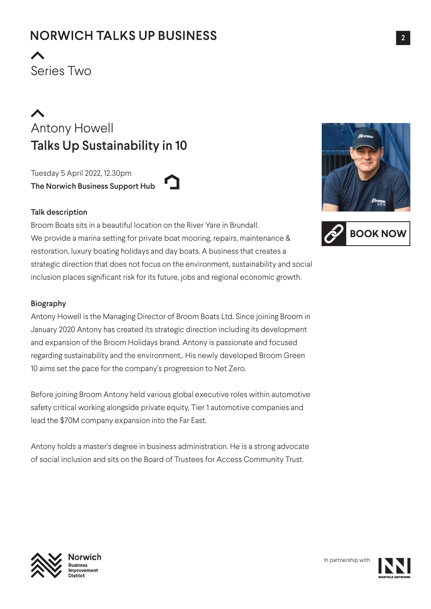Series Two

# Antony Howell Talks Up Sustainability in 10

Tuesday 5 April 2022, 12.30pm The Norwich Business Support Hub



### Talk description

Broom Boats sits in a beautiful location on the River Yare in Brundall. We provide a marina setting for private boat mooring, repairs, maintenance & restoration, luxury boating holidays and day boats. A business that creates a strategic direction that does not focus on the environment, sustainability and social inclusion places significant risk for its future, jobs and regional economic growth.

### Biography

Antony Howell is the Managing Director of Broom Boats Ltd. Since joining Broom in January 2020 Antony has created its strategic direction including its development and expansion of the Broom Holidays brand. Antony is passionate and focused regarding sustainability and the environment,. His newly developed Broom Green 10 aims set the pace for the company's progression to Net Zero.

Before joining Broom Antony held various global executive roles within automotive safety critical working alongside private equity, Tier 1 automotive companies and lead the \$70M company expansion into the Far East.

Antony holds a master's degree in business administration. He is a strong advocate of social inclusion and sits on the Board of Trustees for Access Community Trust.







**Norwich Business** 

In partnership with

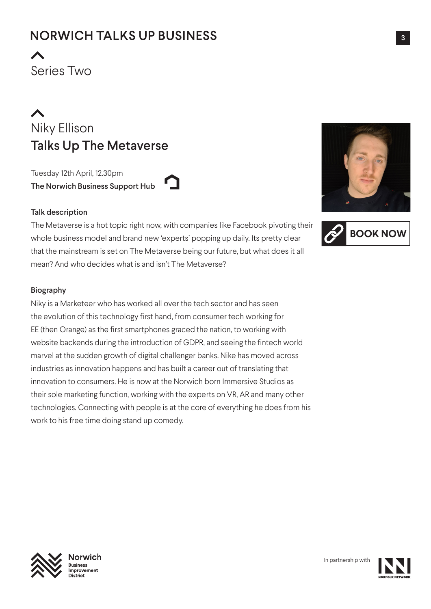Series Two

# Niky Ellison Talks Up The Metaverse

Tuesday 12th April, 12.30pm The Norwich Business Support Hub

### Talk description

The Metaverse is a hot topic right now, with companies like Facebook pivoting their whole business model and brand new 'experts' popping up daily. Its pretty clear that the mainstream is set on The Metaverse being our future, but what does it all mean? And who decides what is and isn't The Metaverse?

### Biography

Niky is a Marketeer who has worked all over the tech sector and has seen the evolution of this technology first hand, from consumer tech working for EE (then Orange) as the first smartphones graced the nation, to working with website backends during the introduction of GDPR, and seeing the fintech world marvel at the sudden growth of digital challenger banks. Nike has moved across industries as innovation happens and has built a career out of translating that innovation to consumers. He is now at the Norwich born Immersive Studios as their sole marketing function, working with the experts on VR, AR and many other technologies. Connecting with people is at the core of everything he does from his work to his free time doing stand up comedy.







**Norwich Business** 

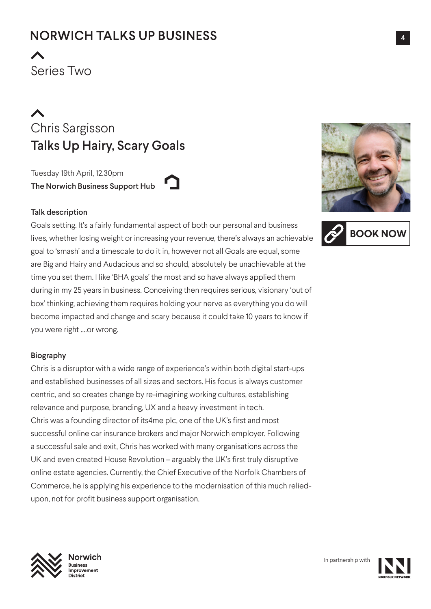Series Two

Chris Sargisson Talks Up Hairy, Scary Goals

Tuesday 19th April, 12.30pm The Norwich Business Support Hub

## Talk description

Goals setting. It's a fairly fundamental aspect of both our personal and business lives, whether losing weight or increasing your revenue, there's always an achievable goal to 'smash' and a timescale to do it in, however not all Goals are equal, some are Big and Hairy and Audacious and so should, absolutely be unachievable at the time you set them. I like 'BHA goals' the most and so have always applied them during in my 25 years in business. Conceiving then requires serious, visionary 'out of box' thinking, achieving them requires holding your nerve as everything you do will become impacted and change and scary because it could take 10 years to know if you were right ….or wrong.

## Biography

Chris is a disruptor with a wide range of experience's within both digital start-ups and established businesses of all sizes and sectors. His focus is always customer centric, and so creates change by re-imagining working cultures, establishing relevance and purpose, branding, UX and a heavy investment in tech. Chris was a founding director of its4me plc, one of the UK's first and most successful online car insurance brokers and major Norwich employer. Following a successful sale and exit, Chris has worked with many organisations across the UK and even created House Revolution – arguably the UK's first truly disruptive online estate agencies. Currently, the Chief Executive of the Norfolk Chambers of Commerce, he is applying his experience to the modernisation of this much reliedupon, not for profit business support organisation.







**Norwich Business**